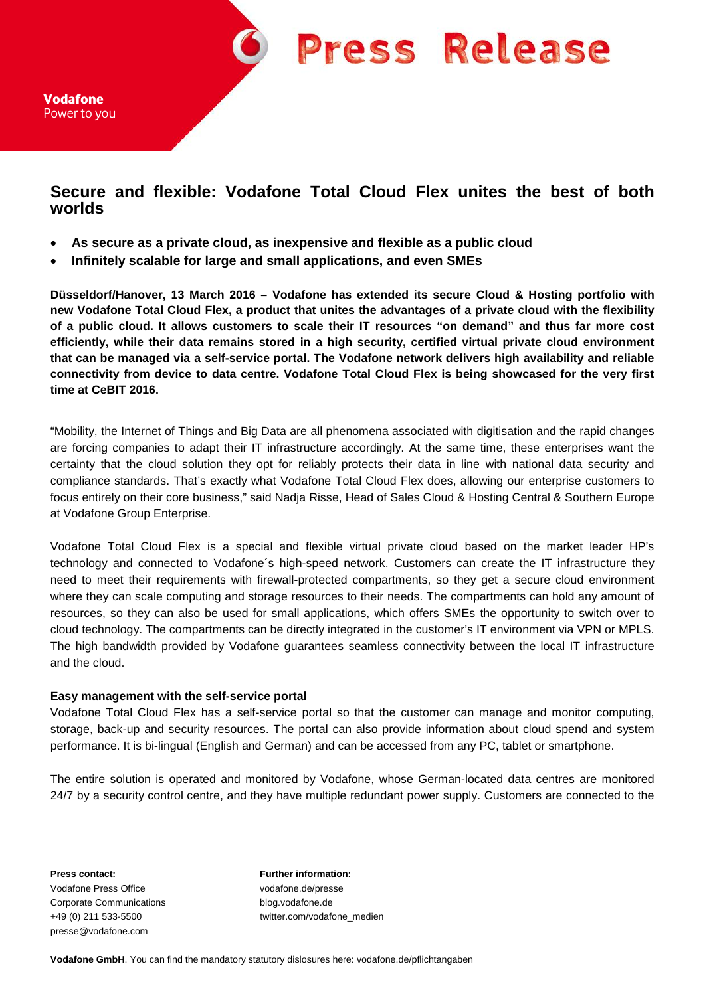

Vodafone Power to you

## **Secure and flexible: Vodafone Total Cloud Flex unites the best of both worlds**

- **As secure as a private cloud, as inexpensive and flexible as a public cloud**
- **Infinitely scalable for large and small applications, and even SMEs**

**Düsseldorf/Hanover, 13 March 2016 – Vodafone has extended its secure Cloud & Hosting portfolio with new Vodafone Total Cloud Flex, a product that unites the advantages of a private cloud with the flexibility of a public cloud. It allows customers to scale their IT resources "on demand" and thus far more cost efficiently, while their data remains stored in a high security, certified virtual private cloud environment that can be managed via a self-service portal. The Vodafone network delivers high availability and reliable connectivity from device to data centre. Vodafone Total Cloud Flex is being showcased for the very first time at CeBIT 2016.** 

"Mobility, the Internet of Things and Big Data are all phenomena associated with digitisation and the rapid changes are forcing companies to adapt their IT infrastructure accordingly. At the same time, these enterprises want the certainty that the cloud solution they opt for reliably protects their data in line with national data security and compliance standards. That's exactly what Vodafone Total Cloud Flex does, allowing our enterprise customers to focus entirely on their core business," said Nadja Risse, Head of Sales Cloud & Hosting Central & Southern Europe at Vodafone Group Enterprise.

Vodafone Total Cloud Flex is a special and flexible virtual private cloud based on the market leader HP's technology and connected to Vodafone´s high-speed network. Customers can create the IT infrastructure they need to meet their requirements with firewall-protected compartments, so they get a secure cloud environment where they can scale computing and storage resources to their needs. The compartments can hold any amount of resources, so they can also be used for small applications, which offers SMEs the opportunity to switch over to cloud technology. The compartments can be directly integrated in the customer's IT environment via VPN or MPLS. The high bandwidth provided by Vodafone guarantees seamless connectivity between the local IT infrastructure and the cloud.

## **Easy management with the self-service portal**

Vodafone Total Cloud Flex has a self-service portal so that the customer can manage and monitor computing, storage, back-up and security resources. The portal can also provide information about cloud spend and system performance. It is bi-lingual (English and German) and can be accessed from any PC, tablet or smartphone.

The entire solution is operated and monitored by Vodafone, whose German-located data centres are monitored 24/7 by a security control centre, and they have multiple redundant power supply. Customers are connected to the

**Press contact: Further information:** Vodafone Press Office vodafone.de/presse Corporate Communications blog.vodafone.de presse@vodafone.com

+49 (0) 211 533-5500 twitter.com/vodafone\_medien